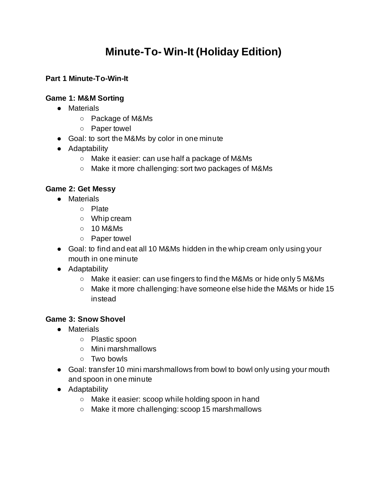# **Minute-To- Win-It (Holiday Edition)**

## **Part 1 Minute-To-Win-It**

### **Game 1: M&M Sorting**

- Materials
	- Package of M&Ms
	- Paper towel
- Goal: to sort the M&Ms by color in one minute
- Adaptability
	- Make it easier: can use half a package of M&Ms
	- Make it more challenging: sort two packages of M&Ms

#### **Game 2: Get Messy**

- Materials
	- Plate
	- Whip cream
	- $\circ$  10 M&Ms
	- Paper towel
- Goal: to find and eat all 10 M&Ms hidden in the whip cream only using your mouth in one minute
- Adaptability
	- Make it easier: can use fingers to find the M&Ms or hide only 5 M&Ms
	- Make it more challenging: have someone else hide the M&Ms or hide 15 instead

#### **Game 3: Snow Shovel**

- Materials
	- Plastic spoon
	- Mini marshmallows
	- Two bowls
- Goal: transfer 10 mini marshmallows from bowl to bowl only using your mouth and spoon in one minute
- Adaptability
	- Make it easier: scoop while holding spoon in hand
	- Make it more challenging: scoop 15 marshmallows